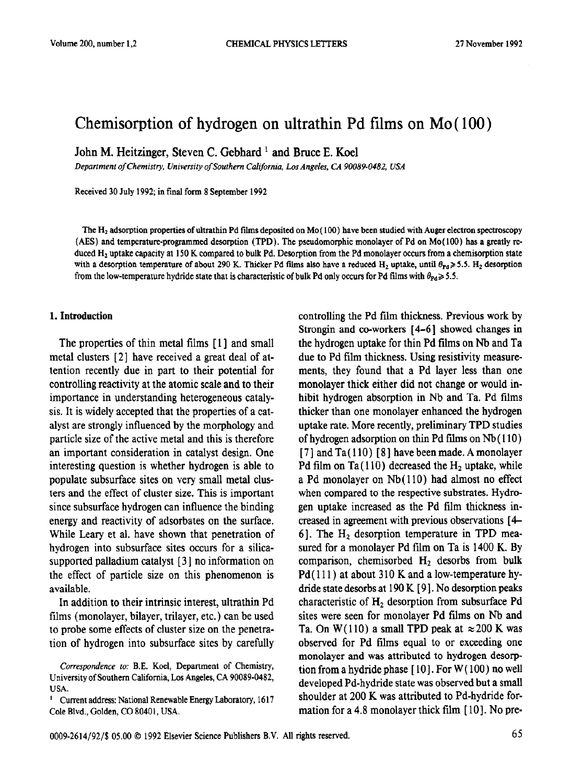# Chemisorption of hydrogen on ultrathin Pd films on Mo (100)

John M. Heitzinger, Steven C. Gebhard ' and Bruce E. Koel

*Department of Chemistry, University of Southern California, Los Angeles, CA 90089-0482, USA* 

Received 30 July 1992; in final form 8 September 1992

The H<sub>2</sub> adsorption properties of ultrathin Pd films deposited on M<sub>0</sub> $(100)$  have been studied with Auger electron spectroscopy (AES) and temperature-programmed desorption (TPD). The pseudomorphic monolayer of Pd on Mo( 100) has a greatly rcduced H<sub>2</sub> uptake capacity at 150 K compared to bulk Pd. Desorption from the Pd monolayer occurs from a chemisorption state with a desorption temperature of about 290 K. Thicker Pd films also have a reduced H<sub>z</sub> uptake, until  $\theta_{\text{Pd}} \geq 5.5$ . H<sub>z</sub> desorption from the low-temperature hydride state that is characteristic of bulk Pd only occurs for Pd films with  $\theta_{\text{Pd}} \geq 5.5$ .

#### **1. Introduction**

The properties of thin metal films [ **1 ]** and small metal clusters [ 21 have received a great deal of attention recently due in part to their potential for controlling reactivity at the atomic scale and to their importance in understanding heterogeneous catalysis. It is widely accepted that the properties of a catalyst are strongly influenced by the morphology and particle size of the active metal and this is therefore an important consideration in catalyst design. One interesting question is whether hydrogen is able to populate subsurface sites on very small metal clusters and the effect of cluster size. This is important since subsurface hydrogen can influence the binding energy and reactivity of adsorbates on the surface. While Leary et al. have shown that penetration of hydrogen into subsurface sites occurs for a silicasupported palladium catalyst [3] no information on the effect of particle size on this phenomenon is available.

In addition to their intrinsic interest, ultrathin Pd films (monolayer, bilayer, trilayer, etc. ) can be used to probe some effects of cluster size on the penetration of hydrogen into subsurface sites by carefully

<sup>1</sup> Current address: National Renewable Energy Laboratory, 1617 Cole Blvd., Golden, CO 8040 I, USA.

controlling the Pd film thickness. Previous work by Strongin and co-workers [4-6] showed changes in the hydrogen uptake for thin **Pd** films on Nh and Ta due to Pd film thickness. Using resistivity measurements, they found that a Pd layer less than one monolayer thick either did not change or would inhibit hydrogen absorption in Nb and Ta. Pd films thicker than one monolayer enhanced the hydrogen uptake rate. More recently, preliminary TPD studies of hydrogen adsorption on thin Pd films on Nb ( 110 ) [ 71 and Ta( 110) [ 81 have been made. **A** monolayer Pd film on Ta $(110)$  decreased the H<sub>2</sub> uptake, while a Pd monolayer on Nb( 110) had almost no effect when compared to the respective substrates. Hydrogen uptake increased as the Pd film thickness increased in agreement with previous observations [ 4- 6]. The  $H_2$  desorption temperature in TPD measured for a monolayer Pd film on Ta is 1400 K. By comparison, chemisorbed  $H_2$  desorbs from bulk  $Pd(111)$  at about 310 K and a low-temperature hydride state desorbs at 190 K [ 9 1. No desorption **peaks**  characteristic of  $H<sub>2</sub>$  desorption from subsurface Pd sites were seen for monolayer Pd films on Nb and Ta. On W(110) a small TPD peak at  $\approx$  200 K was observed for Pd films equal to or exceeding one monolayer and was attributed to hydrogen desorption from a hydride phase  $[10]$ . For W $(100)$  no well developed Pd-hydride state was observed but a small shoulder at 200 K was attributed to Pd-hydride formation for a 4.8 monolayer thick film  $[10]$ . No pre-

Correspondence to: B.E. Koel, Department of Chemistry, University of Southern California, Los Angeles, CA 90089-0482, USA.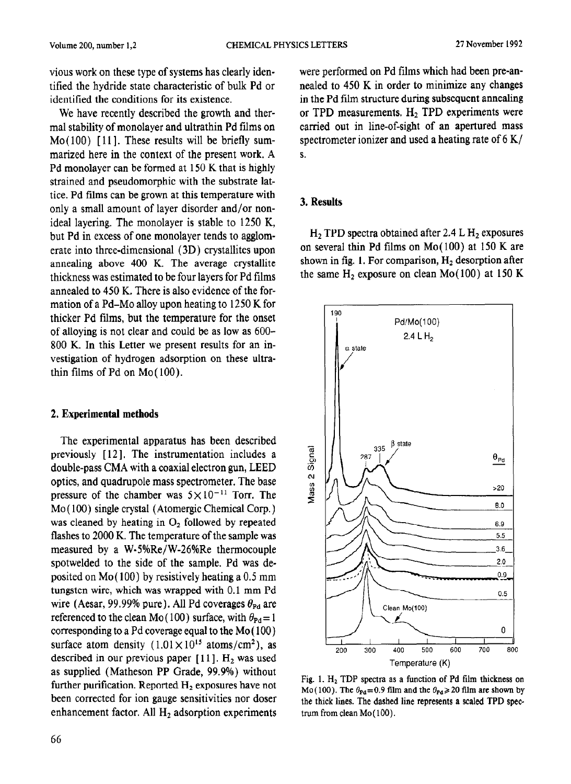vious work on these type of systems has clearly identified the hydride state characteristic of bulk Pd or identified the conditions for its existence.

We have recently described the growth and thermal stability of monolayer and ultrathin Pd films on  $Mo(100)$  [11]. These results will be briefly summarized here in the context of the present work. A Pd monolayer can be formed at 150 K that is highly strained and pseudomorphic with the substrate lattice. Pd films can be grown at this temperature with only a small amount of layer disorder and/or nonideal layering. The monolayer is stable to 1250 K, but Pd in excess of one monolayer tends to agglomerate into three-dimensional (3D) crystallites upon annealing above 400 K. The average crystallite thickness was estimated to be four layers for Pd films annealed to 450 K. There is also evidence of the formation of a Pd-Mo alloy upon heating to 1250 K for thicker Pd films, but the temperature for the onset of alloying is not clear and could be as low as 600- 800 K. In this Letter we present results for an investigation of hydrogen adsorption on these ultrathin films of Pd on  $Mo(100)$ .

### 2. Experimental methods

The experimental apparatus has been described previously [ 121. The instrumentation includes a double-pass CMA with a coaxial electron gun, LEED optics, and quadrupole mass spectrometer. The base pressure of the chamber was  $5 \times 10^{-11}$  Torr. The MO ( 100) single crystal (Atomergic Chemical Corp. ) was cleaned by heating in  $O<sub>2</sub>$  followed by repeated flashes to 2000 K. The temperature of the sample was measured by a  $W-5\%$ Re/W-26%Re thermocouple spotwelded to the side of the sample. Pd was deposited on Mo( 100) by resistively heating a 0.5 mm tungsten wire, which was wrapped with 0.1 mm Pd wire (Aesar, 99.99% pure). All Pd coverages  $\theta_{\rm Pd}$  are referenced to the clean Mo (100) surface, with  $\theta_{\text{Pd}} = 1$ corresponding to a Pd coverage equal to the Mo( 100) surface atom density  $(1.01 \times 10^{15} \text{ atoms/cm}^2)$ , as described in our previous paper  $[11]$ .  $H_2$  was used as supplied (Matheson PP Grade, 99.9%) without further purification. Reported H, exposures have not been corrected for ion gauge sensitivities nor doser enhancement factor. All  $H_2$  adsorption experiments were performed on Pd films which had been pre-annealed to 450 K in order to minimize any changes in the Pd film structure during subsequent annealing or TPD measurements.  $H_2$  TPD experiments were carried out in line-of-sight of an apertured mass spectrometer ionizer and used a heating rate of 6 K/ S.

### 3. Results

 $H<sub>2</sub>$  TPD spectra obtained after 2.4 L  $H<sub>2</sub>$  exposures on several thin Pd films on  $Mo(100)$  at 150 K are shown in fig. 1. For comparison,  $H_2$  desorption after the same  $H_2$  exposure on clean Mo(100) at 150 K



Fig. 1.  $H_2$  TDP spectra as a function of Pd film thickness on Mo(100). The  $\theta_{\text{Pd}} = 0.9$  film and the  $\theta_{\text{Pd}} \ge 20$  film are shown by the thick lines. The dashed line represents a scaled TPD spectrum from clean Mo (100).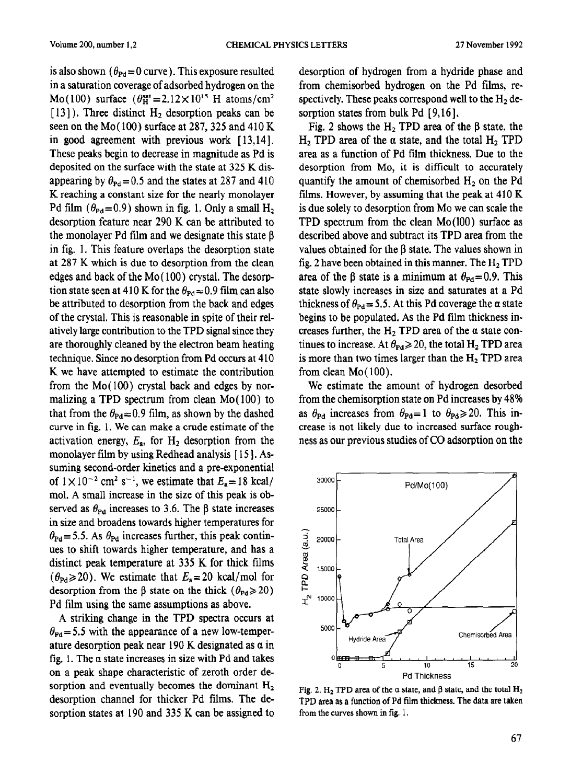is also shown  $(\theta_{\text{Pd}} = 0$  curve). This exposure resulted in a saturation coverage of adsorbed hydrogen on the Mo(100) surface  $(\theta_H^{\text{sat}}=2.12\times10^{15} \text{ H atoms/cm}^2$  $[13]$ ). Three distinct  $H_2$  desorption peaks can be seen on the Mo $(100)$  surface at 287, 325 and 410 K in good agreement with previous work [ 13,141. These peaks begin to decrease in magnitude as Pd is deposited on the surface with the state at 325 K disappearing by  $\theta_{\rm{Pd}}$  = 0.5 and the states at 287 and 410 K reaching a constant size for the nearly monolayer Pd film ( $\theta_{\text{Pd}}$ =0.9) shown in fig. 1. Only a small H<sub>2</sub> desorption feature near 290 K can be attributed to the monolayer Pd film and we designate this state  $\beta$ in fig. 1. This feature overlaps the desorption state at 287 K which is due to desorption from the clean edges and back of the Mo (100) crystal. The desorption state seen at 410 K for the  $\theta_{\text{Pd}} = 0.9$  film can also be attributed to desorption from the back and edges of the crystal. This is reasonable in spite of their relatively large contribution to the TPD signal since they are thoroughly cleaned by the electron beam heating technique. Since no desorption from Pd occurs at 410 K we have attempted to estimate the contribution from the  $Mo(100)$  crystal back and edges by normalizing a TPD spectrum from clean Mo( 100) to that from the  $\theta_{\text{Pd}} = 0.9$  film, as shown by the dashed curve in fig. 1. We can make a crude estimate of the activation energy,  $E_a$ , for  $H_2$  desorption from the monolayer film by using Redhead analysis [15]. Assuming second-order kinetics and a pre-exponential of  $1 \times 10^{-2}$  cm<sup>2</sup> s<sup>-1</sup>, we estimate that  $E_a = 18$  kcal/ mol. A small increase in the size of this peak is observed as  $\theta_{\text{Pd}}$  increases to 3.6. The  $\beta$  state increases in size and broadens towards higher temperatures for  $\theta_{\text{Pd}} = 5.5$ . As  $\theta_{\text{Pd}}$  increases further, this peak contin**ues to** shift towards higher temperature, and has a distinct peak temperature at 335 K for thick films  $(\theta_{\text{Pd}} \ge 20)$ . We estimate that  $E_a = 20$  kcal/mol for desorption from the  $\beta$  state on the thick ( $\theta_{\text{Pd}} \geq 20$ ) Pd film using the same assumptions as above.

A striking change in the TPD spectra occurs at  $\theta_{\text{Pd}}$  = 5.5 with the appearance of a new low-temperature desorption peak near 190 K designated as  $\alpha$  in fig, 1. The a state increases in size with Pd and takes on a peak shape characteristic of zeroth order desorption and eventually becomes the dominant  $H<sub>2</sub>$ desorption channel for thicker Pd films. The desorption states at 190 and 335 K can be assigned to desorption of hydrogen from a hydride phase and from chemisorbed hydrogen on the Pd films, respectively. These peaks correspond well to the  $H<sub>2</sub>$  desorption states from bulk Pd [9,16].

Fig. 2 shows the H<sub>2</sub> TPD area of the  $\beta$  state, the H<sub>2</sub> TPD area of the  $\alpha$  state, and the total H<sub>2</sub> TPD area as a function of Pd flrn thickness. Due to the desorption from *MO,* it is difficult to accurately quantify the amount of chemisorbed  $H<sub>2</sub>$  on the Pd films. However, by assuming that the peak at 410 K is due solely to desorption from MO we can scale the TPD spectrum from the clean Mo(100) surface as described above and subtract its TPD area from the values obtained for the  $\beta$  state. The values shown in fig. 2 have been obtained in this manner. The  $H_2$  TPD area of the  $\beta$  state is a minimum at  $\theta_{\text{Pd}} = 0.9$ . This state slowly increases in size and saturates at a Pd thickness of  $\theta_{\text{Pd}} = 5.5$ . At this Pd coverage the  $\alpha$  state begins to be populated. As the Pd film thickness increases further, the  $H_2$  TPD area of the  $\alpha$  state continues to increase. At  $\theta_{\rm Pd} \ge 20$ , the total H<sub>2</sub> TPD area is more than two times larger than the  $H<sub>2</sub>$  TPD area from clean Mo( 100).

We estimate the amount of hydrogen desorbed from the chemisorption state on Pd increases by 48% as  $\theta_{\text{Pd}}$  increases from  $\theta_{\text{Pd}} = 1$  to  $\theta_{\text{Pd}} \ge 20$ . This increase is not likely due to increased surface roughness as our previous studies of CO adsorption on the



Fig. 2. H<sub>2</sub> TPD area of the  $\alpha$  state, and  $\beta$  state, and the total H<sub>2</sub> TPD area as a function of Pd film thickness. The data are taken from the curves shown in fig. 1.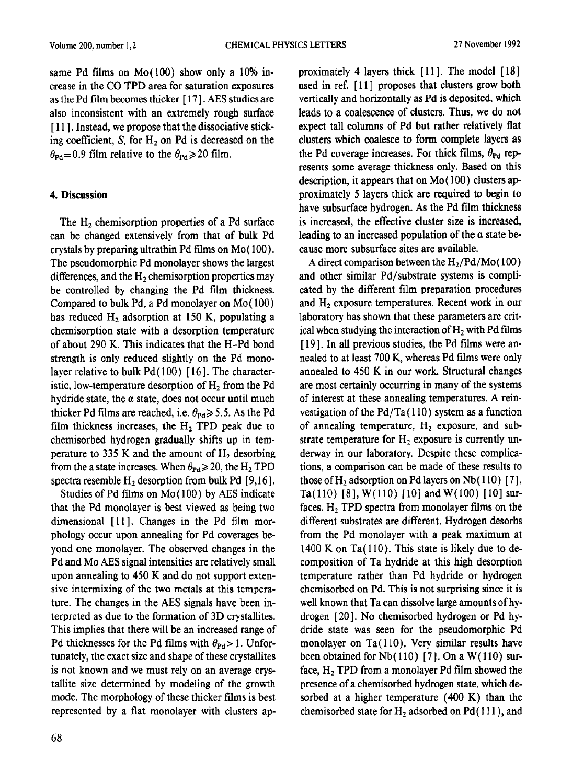same Pd films on  $Mo(100)$  show only a 10% increase in the CO TPD area for saturation exposures as the Pd film becomes thicker [ 17 1. AES studies are also inconsistent with an extremely rough surface [111]. Instead, we propose that the dissociative sticking coefficient, S, for  $H<sub>2</sub>$  on Pd is decreased on the  $\theta_{\text{Pd}}$  = 0.9 film relative to the  $\theta_{\text{Pd}}$  > 20 film.

## 4. Discussion

The  $H_2$  chemisorption properties of a Pd surface can be changed extensively from that of bulk Pd crystals by preparing ultrathin Pd films on  $Mo(100)$ . The pseudomorphic Pd monolayer shows the largest differences, and the  $H_2$  chemisorption properties may be controlled by changing the Pd film thickness. Compared to bulk Pd, a Pd monolayer on Mo(100) has reduced  $H_2$  adsorption at 150 K, populating a chemisorption state with a desorption temperature of about 290 K. This indicates that the H-Pd bond strength is only reduced slightly on the Pd monolayer relative to bulk  $Pd(100)$  [16]. The characteristic, low-temperature desorption of  $H<sub>2</sub>$  from the Pd hydride state, the  $\alpha$  state, does not occur until much thicker Pd films are reached, i.e.  $\theta_{\text{Pd}} \geq 5.5$ . As the Pd film thickness increases, the  $H_2$  TPD peak due to chemisorbed hydrogen gradually shifts up in temperature to 335 K and the amount of  $H<sub>2</sub>$  desorbing from the a state increases. When  $\theta_{\text{Pd}} \geq 20$ , the H<sub>2</sub> TPD spectra resemble  $H<sub>2</sub>$  desorption from bulk Pd [9,16].

Studies of Pd films on Mo( 100) by AES indicate that the Pd monolayer is best viewed as being two dimensional [11]. Changes in the Pd film morphology occur upon annealing for Pd coverages beyond one monolayer. The observed changes in the Pd and MO AES signal intensities are relatively small upon annealing to 450 K and do not support extensive intermixing of the two metals at this temperature. The changes in the AES signals have been interpreted as due to the formation of 3D crystallites. This implies that there will be an increased range of Pd thicknesses for the Pd films with  $\theta_{\text{Pd}} > 1$ . Unfortunately, the exact size and shape of these crystallites is not known and we must rely on an average crystallite size determined by modeling of the growth mode. The morphology of these thicker films is best represented by a flat monolayer with clusters approximately 4 layers thick [ 111. The model [ 181 used in ref. [11] proposes that clusters grow both vertically and horizontally as Pd is deposited, which leads to a coalescence of clusters. Thus, we do not expect tall columns of Pd but rather relatively flat clusters which coalesce to form complete layers as the Pd coverage increases. For thick films,  $\theta_{\text{Pd}}$  represents some average thickness only. Based on this description, it appears that on Mo( 100) clusters approximately 5 layers thick are required to begin to have subsurface hydrogen. As the Pd film thickness is increased, the effective cluster size is increased, leading to an increased population of the a state because more subsurface sites are available.

A direct comparison between the  $H_2/Pd/Mo(100)$ and other similar Pd/substrate systems is complicated by the different film preparation procedures and  $H<sub>2</sub>$  exposure temperatures. Recent work in our laboratory has shown that these parameters are critical when studying the interaction of  $H_2$  with Pd films [19]. In all previous studies, the Pd films were annealed to at least 700 K, whereas Pd films were only annealed to 450 K in our work. Structural changes are most certainly occurring in many of the systems of interest at these annealing temperatures. A reinvestigation of the  $Pd/Ta(110)$  system as a function of annealing temperature,  $H<sub>2</sub>$  exposure, and substrate temperature for  $H_2$  exposure is currently underway in our laboratory. Despite these complications, a comparison can be made of these results to those of  $H_2$  adsorption on Pd layers on Nb (110) [7], Ta(110) [8],  $W(110)$  [10] and  $W(100)$  [10] surfaces.  $H_2$  TPD spectra from monolayer films on the different substrates are different. Hydrogen desorbs from the Pd monolayer with a peak maximum at  $1400$  K on Ta $(110)$ . This state is likely due to decomposition of Ta hydride at this high desorption temperature rather than Pd hydride or hydrogen chemisorbed on Pd. This is not surprising since it is well known that Ta can dissolve large amounts of hydrogen [20]. No chemisorbed hydrogen or Pd hydride state was seen for the pseudomorphic Pd monolayer on Ta( 110). Very similar results have been obtained for  $Nb(110)$  [7]. On a W(110) surface,  $H_2$  TPD from a monolayer Pd film showed the presence of a chemisorbed hydrogen state, which desorbed at a higher temperature (400 K) than the chemisorbed state for  $H_2$  adsorbed on  $Pd(111)$ , and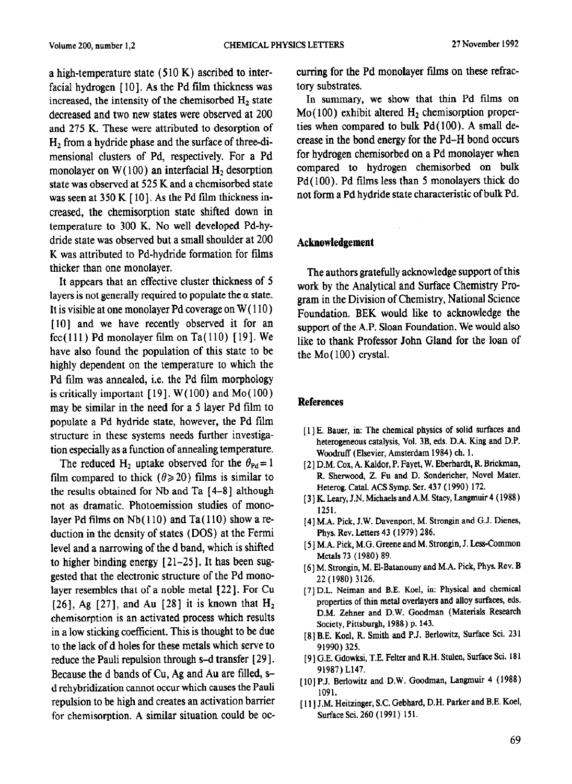a high-temperature state  $(510 K)$  ascribed to interfacial hydrogen [10]. As the Pd film thickness was increased, the intensity of the chemisorbed  $H_2$  state decreased and two new states were observed at 200 and 275 K. These were attributed to desorption of  $H<sub>2</sub>$  from a hydride phase and the surface of three-dimensional clusters of Pd, respectively. For a Pd monolayer on  $W(100)$  an interfacial  $H<sub>2</sub>$  desorption state was observed at 525 K and a chemisorbed state was seen at 350 K [10]. As the Pd film thickness increased, the chemisorption state shifted down in temperature to 300 K. No well developed Pd-hydride state was observed but a small shoulder at 200 K was attributed to Pd-hydride formation for films thicker than one monolayer.

It appears that an effective cluster thickness of 5 layers is not generally required to populate the  $\alpha$  state. It is visible at one monolayer Pd coverage on  $W(110)$ [10] and we have recently observed it for an fcc(111) Pd monolayer film on Ta(110) [19]. We have also found the population of this state to be highly dependent on the temperature to which the Pd film was annealed, i.e. the Pd film morphology is critically important  $[19]$ . W $(100)$  and Mo $(100)$ may be similar in the need for a 5 layer Pd film to populate a Pd hydride state, however, the Pd film structure in these systems needs further investigation especially as a function of annealing temperature.

The reduced H<sub>2</sub> uptake observed for the  $\theta_{\text{Pd}} = 1$ film compared to thick ( $\theta \ge 20$ ) films is similar to the results obtained for Nb and Ta [4-8] although not as dramatic. Photoemission studies of monolayer Pd films on  $Nb(110)$  and Ta(110) show a reduction in the density of states (DOS) at the Fermi level and a narrowing of the d band, which is shifted to higher binding energy  $[21-25]$ . It has been suggested that the electronic structure of the Pd monolayer resembles that of a noble metal [22]. For Cu [26], Ag [27], and Au [28] it is known that  $H_2$ chemisorption is an activated process which results in a low sticking coefficient. This is thought to be due to the lack of d holes for these metals which serve to reduce the Pauli repulsion through s-d transfer [29]. Because the d bands of Cu, Ag and Au are filled, sd rehybridization cannot occur which causes the Pauli repulsion to be high and creates an activation barrier for chemisorption. A similar situation could be oc**curring** for the Pd monolayer films on these refractory substrates.

In summary, we show that thin Pd films on  $Mo(100)$  exhibit altered  $H<sub>2</sub>$  chemisorption properties when compared to bulk Pd( 100). A small decrease in the bond energy for the Pd-H bond occurs for hydrogen chemisorbed on a Pd monolayer when compared to hydrogen chemisorbed on bulk Pd( 100). Pd films less than 5 monolayers thick do not form a Pd hydride state characteristic of bulk Pd.

## **Acknowledgement**

**The** authors gratefully acknowledge support of this work by the Analytical and Surface Chemistry Program in the Division of Chemistry, National Science Foundation. BEK would like to acknowledge the support of the A.P. Sloan Foundation. We would also like to thank Professor John Gland for the loan of the  $Mo(100)$  crystal.

## **References**

- [ 1 ] E. Bauer, in: The chemical physics of solid surfaces and heterogeneous **catalysis, Vol. 3B, eds. D.A. King and D.P.**  Woodruff (Elsevier, Amsterdam 1984) ch. 1.
- [ 21 D.M. Cox, A. Kaldor, P. Fayet, W. Eberhardt, R. Brickman, R. Sherwood, 2. Fu and D. Sondericher, Novel Mater. Heterog. Catal. ACS Symp. Ser. 437 ( 1990) 172.
- [3] K. Leary, J.N. Michaels and A.M. Stacy, Langmuir 4 (1988) 1251.
- [4] M.A. Pick, J.W. Davenport, M. Strongin and G.J. Dienes, Phys. Rev. Letters 43 (1979) 286.
- [ 51 MA. Pick, M.G. Greene and M. Strongin, J. Less-Common Metals 73 (1980) 89.
- [ 61 M. Strongin, M. El-Batanouny and M.A. Pick, Phys. Rev. B 22 (1980) 3126.
- [7] **D.L. Neiman and B.E.** Koel, in: Physical and chemical properties of thin metal overlayers and alloy surfaces, eds. D.M. Zehner and D.W. Goodman (Materials Research Society, Pittsburgh, 1988) p. 143.
- [S] B.E. Koel, R. Smith and P.J. Berlowitz, Surface Sci. 231 91990) 325.
- [9] G.E. Gdowksi, T.E. Felter and R.H. Stulen, Surface Sci. 181 91987) L147.
- [lo] P.J. Berlowitz and D.W. Goodman, Langmuir 4 (1988) 1091.
- [11] J.M. Heitzinger, S.C. Gebhard, D.H. Parker and B.E. Koel, SurfaceSci.260 (1991) 151.